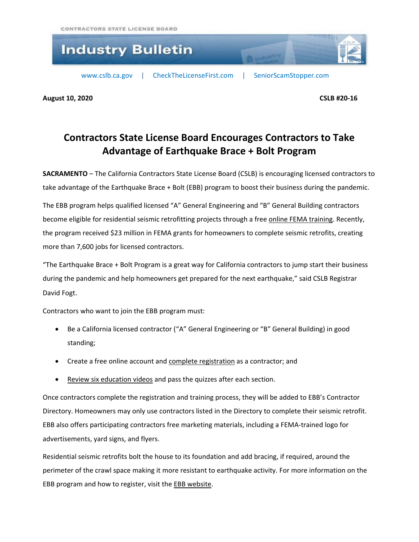

**August 10, 2020 CSLB #20-16**

## **Contractors State License Board Encourages Contractors to Take Advantage of Earthquake Brace + Bolt Program**

**SACRAMENTO** – The California Contractors State License Board (CSLB) is encouraging licensed contractors to take advantage of the Earthquake Brace + Bolt (EBB) program to boost their business during the pandemic.

The EBB program helps qualified licensed "A" General Engineering and "B" General Building contractors become eligible for residential seismic retrofitting projects through a free online FEMA [training.](https://www.earthquakebracebolt.com/Course/Public) Recently, the program received \$23 million in FEMA grants for homeowners to complete seismic retrofits, creating more than 7,600 jobs for licensed contractors.

"The Earthquake Brace + Bolt Program is a great way for California contractors to jump start their business during the pandemic and help homeowners get prepared for the next earthquake," said CSLB Registrar David Fogt.

Contractors who want to join the EBB program must:

- Be a California licensed contractor ("A" General Engineering or "B" General Building) in good standing;
- Create a free online account and complete [registration](https://www.earthquakebracebolt.com/ContractorRegistration) as a contractor; and
- Review six [education](https://www.earthquakebracebolt.com/Course/Public) videos and pass the quizzes after each section.

Once contractors complete the registration and training process, they will be added to EBB's Contractor Directory. Homeowners may only use contractors listed in the Directory to complete their seismic retrofit. EBB also offers participating contractors free marketing materials, including a FEMA-trained logo for advertisements, yard signs, and flyers.

Residential seismic retrofits bolt the house to its foundation and add bracing, if required, around the perimeter of the crawl space making it more resistant to earthquake activity. For more information on the EBB program and how to register, visit the EBB [website.](https://www.earthquakebracebolt.com/Content/AboutContractorProgram)